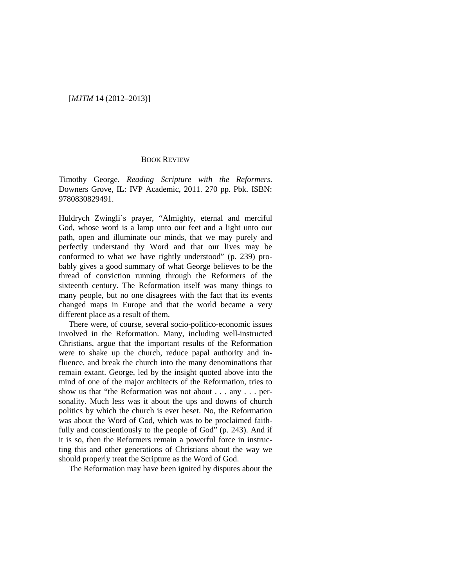## [*MJTM* 14 (2012–2013)]

## BOOK REVIEW

Timothy George. *Reading Scripture with the Reformers*. Downers Grove, IL: IVP Academic, 2011. 270 pp. Pbk. ISBN: 9780830829491.

Huldrych Zwingli's prayer, "Almighty, eternal and merciful God, whose word is a lamp unto our feet and a light unto our path, open and illuminate our minds, that we may purely and perfectly understand thy Word and that our lives may be conformed to what we have rightly understood" (p. 239) probably gives a good summary of what George believes to be the thread of conviction running through the Reformers of the sixteenth century. The Reformation itself was many things to many people, but no one disagrees with the fact that its events changed maps in Europe and that the world became a very different place as a result of them.

There were, of course, several socio-politico-economic issues involved in the Reformation. Many, including well-instructed Christians, argue that the important results of the Reformation were to shake up the church, reduce papal authority and influence, and break the church into the many denominations that remain extant. George, led by the insight quoted above into the mind of one of the major architects of the Reformation, tries to show us that "the Reformation was not about . . . any . . . personality. Much less was it about the ups and downs of church politics by which the church is ever beset. No, the Reformation was about the Word of God, which was to be proclaimed faithfully and conscientiously to the people of God" (p. 243). And if it is so, then the Reformers remain a powerful force in instructing this and other generations of Christians about the way we should properly treat the Scripture as the Word of God.

The Reformation may have been ignited by disputes about the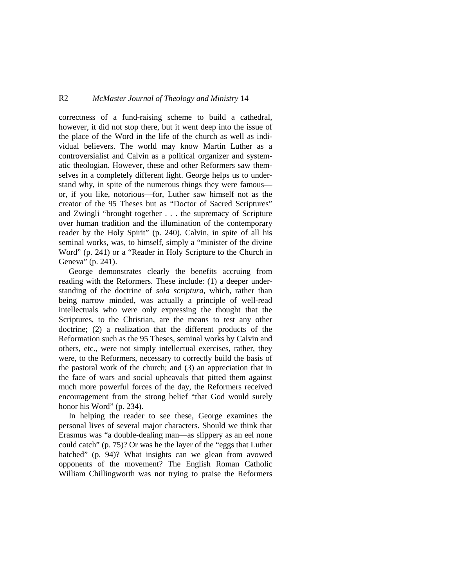## R2 *McMaster Journal of Theology and Ministry* 14

correctness of a fund-raising scheme to build a cathedral, however, it did not stop there, but it went deep into the issue of the place of the Word in the life of the church as well as individual believers. The world may know Martin Luther as a controversialist and Calvin as a political organizer and systematic theologian. However, these and other Reformers saw themselves in a completely different light. George helps us to understand why, in spite of the numerous things they were famous or, if you like, notorious—for, Luther saw himself not as the creator of the 95 Theses but as "Doctor of Sacred Scriptures" and Zwingli "brought together . . . the supremacy of Scripture over human tradition and the illumination of the contemporary reader by the Holy Spirit" (p. 240). Calvin, in spite of all his seminal works, was, to himself, simply a "minister of the divine Word" (p. 241) or a "Reader in Holy Scripture to the Church in Geneva" (p. 241).

George demonstrates clearly the benefits accruing from reading with the Reformers. These include: (1) a deeper understanding of the doctrine of *sola scriptura*, which, rather than being narrow minded, was actually a principle of well-read intellectuals who were only expressing the thought that the Scriptures, to the Christian, are the means to test any other doctrine; (2) a realization that the different products of the Reformation such as the 95 Theses, seminal works by Calvin and others, etc., were not simply intellectual exercises, rather, they were, to the Reformers, necessary to correctly build the basis of the pastoral work of the church; and (3) an appreciation that in the face of wars and social upheavals that pitted them against much more powerful forces of the day, the Reformers received encouragement from the strong belief "that God would surely honor his Word" (p. 234).

In helping the reader to see these, George examines the personal lives of several major characters. Should we think that Erasmus was "a double-dealing man—as slippery as an eel none could catch" (p. 75)? Or was he the layer of the "eggs that Luther hatched" (p. 94)? What insights can we glean from avowed opponents of the movement? The English Roman Catholic William Chillingworth was not trying to praise the Reformers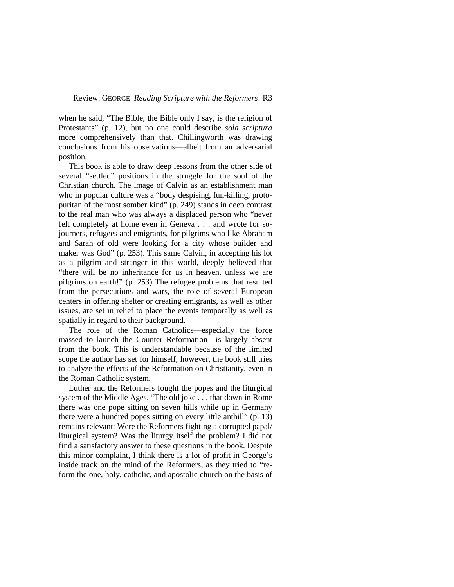when he said, "The Bible, the Bible only I say, is the religion of Protestants" (p. 12), but no one could describe *sola scriptura* more comprehensively than that. Chillingworth was drawing conclusions from his observations—albeit from an adversarial position.

This book is able to draw deep lessons from the other side of several "settled" positions in the struggle for the soul of the Christian church. The image of Calvin as an establishment man who in popular culture was a "body despising, fun-killing, protopuritan of the most somber kind" (p. 249) stands in deep contrast to the real man who was always a displaced person who "never felt completely at home even in Geneva . . . and wrote for sojourners, refugees and emigrants, for pilgrims who like Abraham and Sarah of old were looking for a city whose builder and maker was God" (p. 253). This same Calvin, in accepting his lot as a pilgrim and stranger in this world, deeply believed that "there will be no inheritance for us in heaven, unless we are pilgrims on earth!" (p. 253) The refugee problems that resulted from the persecutions and wars, the role of several European centers in offering shelter or creating emigrants, as well as other issues, are set in relief to place the events temporally as well as spatially in regard to their background.

The role of the Roman Catholics—especially the force massed to launch the Counter Reformation—is largely absent from the book. This is understandable because of the limited scope the author has set for himself; however, the book still tries to analyze the effects of the Reformation on Christianity, even in the Roman Catholic system.

Luther and the Reformers fought the popes and the liturgical system of the Middle Ages. "The old joke . . . that down in Rome there was one pope sitting on seven hills while up in Germany there were a hundred popes sitting on every little anthill" (p. 13) remains relevant: Were the Reformers fighting a corrupted papal/ liturgical system? Was the liturgy itself the problem? I did not find a satisfactory answer to these questions in the book. Despite this minor complaint, I think there is a lot of profit in George's inside track on the mind of the Reformers, as they tried to "reform the one, holy, catholic, and apostolic church on the basis of